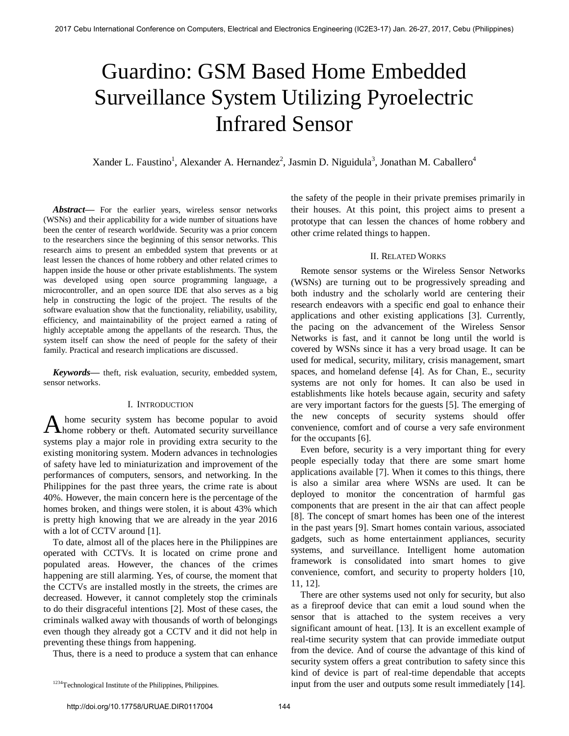# Guardino: GSM Based Home Embedded Surveillance System Utilizing Pyroelectric Infrared Sensor

Xander L. Faustino<sup>1</sup>, Alexander A. Hernandez<sup>2</sup>, Jasmin D. Niguidula<sup>3</sup>, Jonathan M. Caballero<sup>4</sup>

*Abstract***—** For the earlier years, wireless sensor networks (WSNs) and their applicability for a wide number of situations have been the center of research worldwide. Security was a prior concern to the researchers since the beginning of this sensor networks. This research aims to present an embedded system that prevents or at least lessen the chances of home robbery and other related crimes to happen inside the house or other private establishments. The system was developed using open source programming language, a microcontroller, and an open source IDE that also serves as a big help in constructing the logic of the project. The results of the software evaluation show that the functionality, reliability, usability, efficiency, and maintainability of the project earned a rating of highly acceptable among the appellants of the research. Thus, the system itself can show the need of people for the safety of their family. Practical and research implications are discussed.

*Keywords***—** theft, risk evaluation, security, embedded system, sensor networks.

## I. INTRODUCTION

 home security system has become popular to avoid A home security system has become popular to avoid home robbery or theft. Automated security surveillance systems play a major role in providing extra security to the existing monitoring system. Modern advances in technologies of safety have led to miniaturization and improvement of the performances of computers, sensors, and networking. In the Philippines for the past three years, the crime rate is about 40%. However, the main concern here is the percentage of the homes broken, and things were stolen, it is about 43% which is pretty high knowing that we are already in the year 2016 with a lot of CCTV around [1].

To date, almost all of the places here in the Philippines are operated with CCTVs. It is located on crime prone and populated areas. However, the chances of the crimes happening are still alarming. Yes, of course, the moment that the CCTVs are installed mostly in the streets, the crimes are decreased. However, it cannot completely stop the criminals to do their disgraceful intentions [2]. Most of these cases, the criminals walked away with thousands of worth of belongings even though they already got a CCTV and it did not help in preventing these things from happening.

Thus, there is a need to produce a system that can enhance

the safety of the people in their private premises primarily in their houses. At this point, this project aims to present a prototype that can lessen the chances of home robbery and other crime related things to happen.

## II. RELATED WORKS

 Remote sensor systems or the Wireless Sensor Networks (WSNs) are turning out to be progressively spreading and both industry and the scholarly world are centering their research endeavors with a specific end goal to enhance their applications and other existing applications [3]. Currently, the pacing on the advancement of the Wireless Sensor Networks is fast, and it cannot be long until the world is covered by WSNs since it has a very broad usage. It can be used for medical, security, military, crisis management, smart spaces, and homeland defense [4]. As for Chan, E., security systems are not only for homes. It can also be used in establishments like hotels because again, security and safety are very important factors for the guests [5]. The emerging of the new concepts of security systems should offer convenience, comfort and of course a very safe environment for the occupants [6].

Even before, security is a very important thing for every people especially today that there are some smart home applications available [7]. When it comes to this things, there is also a similar area where WSNs are used. It can be deployed to monitor the concentration of harmful gas components that are present in the air that can affect people [8]. The concept of smart homes has been one of the interest in the past years [9]. Smart homes contain various, associated gadgets, such as home entertainment appliances, security systems, and surveillance. Intelligent home automation framework is consolidated into smart homes to give convenience, comfort, and security to property holders [10, 11, 12].

There are other systems used not only for security, but also as a fireproof device that can emit a loud sound when the sensor that is attached to the system receives a very significant amount of heat. [13]. It is an excellent example of real-time security system that can provide immediate output from the device. And of course the advantage of this kind of security system offers a great contribution to safety since this kind of device is part of real-time dependable that accepts input from the user and outputs some result immediately [14].

<sup>&</sup>lt;sup>1234</sup>Technological Institute of the Philippines, Philippines.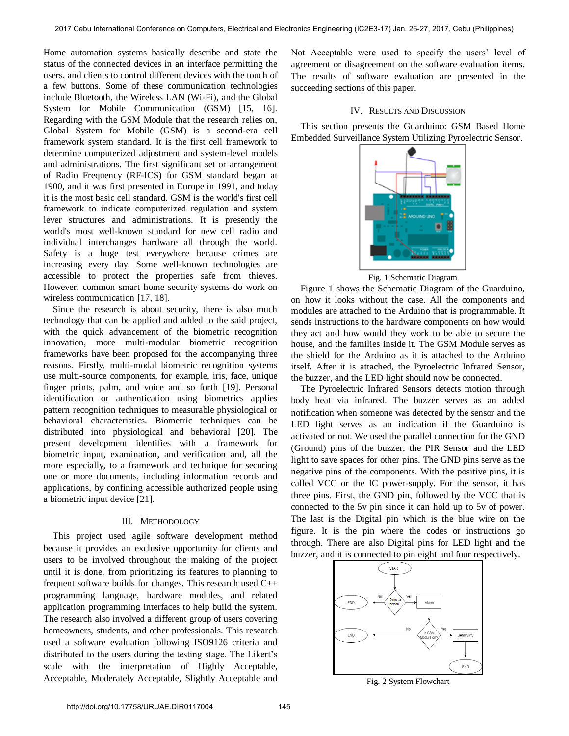Home automation systems basically describe and state the status of the connected devices in an interface permitting the users, and clients to control different devices with the touch of a few buttons. Some of these communication technologies include Bluetooth, the Wireless LAN (Wi-Fi), and the Global System for Mobile Communication (GSM) [15, 16]. Regarding with the GSM Module that the research relies on, Global System for Mobile (GSM) is a second-era cell framework system standard. It is the first cell framework to determine computerized adjustment and system-level models and administrations. The first significant set or arrangement of Radio Frequency (RF-ICS) for GSM standard began at 1900, and it was first presented in Europe in 1991, and today it is the most basic cell standard. GSM is the world's first cell framework to indicate computerized regulation and system lever structures and administrations. It is presently the world's most well-known standard for new cell radio and individual interchanges hardware all through the world. Safety is a huge test everywhere because crimes are increasing every day. Some well-known technologies are accessible to protect the properties safe from thieves. However, common smart home security systems do work on wireless communication [17, 18].

Since the research is about security, there is also much technology that can be applied and added to the said project, with the quick advancement of the biometric recognition innovation, more multi-modular biometric recognition frameworks have been proposed for the accompanying three reasons. Firstly, multi-modal biometric recognition systems use multi-source components, for example, iris, face, unique finger prints, palm, and voice and so forth [19]. Personal identification or authentication using biometrics applies pattern recognition techniques to measurable physiological or behavioral characteristics. Biometric techniques can be distributed into physiological and behavioral [20]. The present development identifies with a framework for biometric input, examination, and verification and, all the more especially, to a framework and technique for securing one or more documents, including information records and applications, by confining accessible authorized people using a biometric input device [21].

## III. METHODOLOGY

This project used agile software development method because it provides an exclusive opportunity for clients and users to be involved throughout the making of the project until it is done, from prioritizing its features to planning to frequent software builds for changes. This research used C++ programming language, hardware modules, and related application programming interfaces to help build the system. The research also involved a different group of users covering homeowners, students, and other professionals. This research used a software evaluation following ISO9126 criteria and distributed to the users during the testing stage. The Likert's scale with the interpretation of Highly Acceptable, Acceptable, Moderately Acceptable, Slightly Acceptable and

Not Acceptable were used to specify the users' level of agreement or disagreement on the software evaluation items. The results of software evaluation are presented in the succeeding sections of this paper.

#### IV. RESULTS AND DISCUSSION

This section presents the Guarduino: GSM Based Home Embedded Surveillance System Utilizing Pyroelectric Sensor.



Fig. 1 Schematic Diagram

Figure 1 shows the Schematic Diagram of the Guarduino, on how it looks without the case. All the components and modules are attached to the Arduino that is programmable. It sends instructions to the hardware components on how would they act and how would they work to be able to secure the house, and the families inside it. The GSM Module serves as the shield for the Arduino as it is attached to the Arduino itself. After it is attached, the Pyroelectric Infrared Sensor, the buzzer, and the LED light should now be connected.

The Pyroelectric Infrared Sensors detects motion through body heat via infrared. The buzzer serves as an added notification when someone was detected by the sensor and the LED light serves as an indication if the Guarduino is activated or not. We used the parallel connection for the GND (Ground) pins of the buzzer, the PIR Sensor and the LED light to save spaces for other pins. The GND pins serve as the negative pins of the components. With the positive pins, it is called VCC or the IC power-supply. For the sensor, it has three pins. First, the GND pin, followed by the VCC that is connected to the 5v pin since it can hold up to 5v of power. The last is the Digital pin which is the blue wire on the figure. It is the pin where the codes or instructions go through. There are also Digital pins for LED light and the buzzer, and it is connected to pin eight and four respectively.



Fig. 2 System Flowchart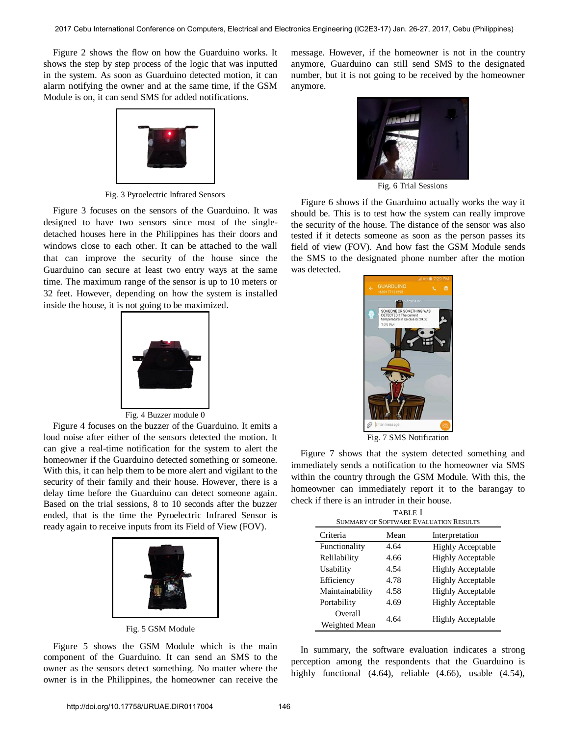Figure 2 shows the flow on how the Guarduino works. It shows the step by step process of the logic that was inputted in the system. As soon as Guarduino detected motion, it can alarm notifying the owner and at the same time, if the GSM Module is on, it can send SMS for added notifications.



Fig. 3 Pyroelectric Infrared Sensors

Figure 3 focuses on the sensors of the Guarduino. It was designed to have two sensors since most of the singledetached houses here in the Philippines has their doors and windows close to each other. It can be attached to the wall that can improve the security of the house since the Guarduino can secure at least two entry ways at the same time. The maximum range of the sensor is up to 10 meters or 32 feet. However, depending on how the system is installed inside the house, it is not going to be maximized.



Fig. 4 Buzzer module 0

Figure 4 focuses on the buzzer of the Guarduino. It emits a loud noise after either of the sensors detected the motion. It can give a real-time notification for the system to alert the homeowner if the Guarduino detected something or someone. With this, it can help them to be more alert and vigilant to the security of their family and their house. However, there is a delay time before the Guarduino can detect someone again. Based on the trial sessions, 8 to 10 seconds after the buzzer ended, that is the time the Pyroelectric Infrared Sensor is ready again to receive inputs from its Field of View (FOV).



Fig. 5 GSM Module

Figure 5 shows the GSM Module which is the main component of the Guarduino. It can send an SMS to the owner as the sensors detect something. No matter where the owner is in the Philippines, the homeowner can receive the message. However, if the homeowner is not in the country anymore, Guarduino can still send SMS to the designated number, but it is not going to be received by the homeowner anymore.



Fig. 6 Trial Sessions

 Figure 6 shows if the Guarduino actually works the way it should be. This is to test how the system can really improve the security of the house. The distance of the sensor was also tested if it detects someone as soon as the person passes its field of view (FOV). And how fast the GSM Module sends the SMS to the designated phone number after the motion was detected.



Fig. 7 SMS Notification

Figure 7 shows that the system detected something and immediately sends a notification to the homeowner via SMS within the country through the GSM Module. With this, the homeowner can immediately report it to the barangay to check if there is an intruder in their house.

| <b>TABLE</b> I                                |      |                          |
|-----------------------------------------------|------|--------------------------|
| <b>SUMMARY OF SOFTWARE EVALUATION RESULTS</b> |      |                          |
| Criteria                                      | Mean | Interpretation           |
| Functionality                                 | 4.64 | <b>Highly Acceptable</b> |
| Relilability                                  | 4.66 | <b>Highly Acceptable</b> |
| Usability                                     | 4.54 | <b>Highly Acceptable</b> |
| Efficiency                                    | 4.78 | <b>Highly Acceptable</b> |
| Maintainability                               | 4.58 | <b>Highly Acceptable</b> |
| Portability                                   | 4.69 | <b>Highly Acceptable</b> |
| Overall<br>Weighted Mean                      | 4.64 | <b>Highly Acceptable</b> |

In summary, the software evaluation indicates a strong perception among the respondents that the Guarduino is highly functional (4.64), reliable (4.66), usable (4.54),